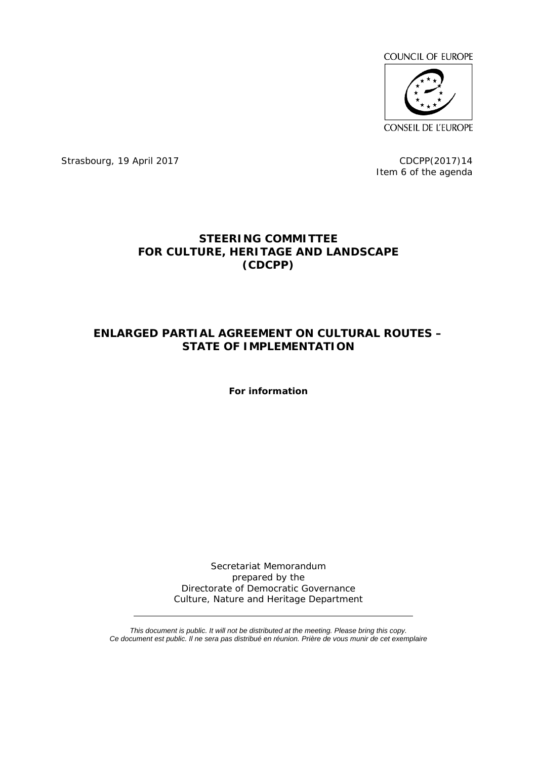

Strasbourg, 19 April 2017 CDCPP(2017)14

Item 6 of the agenda

## **STEERING COMMITTEE FOR CULTURE, HERITAGE AND LANDSCAPE (CDCPP)**

## **ENLARGED PARTIAL AGREEMENT ON CULTURAL ROUTES – STATE OF IMPLEMENTATION**

**For information** 

Secretariat Memorandum prepared by the Directorate of Democratic Governance Culture, Nature and Heritage Department

*This document is public. It will not be distributed at the meeting. Please bring this copy. Ce document est public. Il ne sera pas distribué en réunion. Prière de vous munir de cet exemplaire*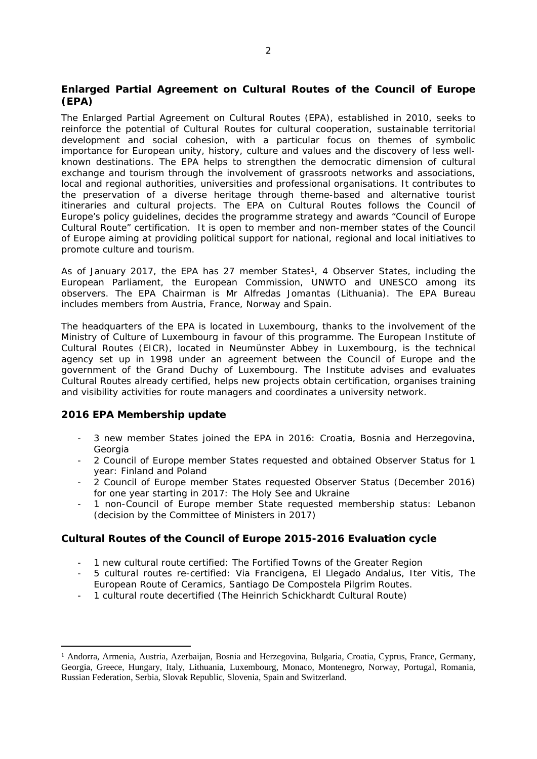**Enlarged Partial Agreement on Cultural Routes of the Council of Europe (EPA)**

The Enlarged Partial Agreement on Cultural Routes (EPA), established in 2010, seeks to reinforce the potential of Cultural Routes for cultural cooperation, sustainable territorial development and social cohesion, with a particular focus on themes of symbolic importance for European unity, history, culture and values and the discovery of less wellknown destinations. The EPA helps to strengthen the democratic dimension of cultural exchange and tourism through the involvement of grassroots networks and associations, local and regional authorities, universities and professional organisations. It contributes to the preservation of a diverse heritage through theme-based and alternative tourist itineraries and cultural projects. The EPA on Cultural Routes follows the Council of Europe's policy guidelines, decides the programme strategy and awards "Council of Europe Cultural Route" certification. It is open to member and non-member states of the Council of Europe aiming at providing political support for national, regional and local initiatives to promote culture and tourism.

As of January 2017, the EPA has 27 member States<sup>1</sup>, 4 Observer States, including the European Parliament, the European Commission, UNWTO and UNESCO among its observers. The EPA Chairman is Mr Alfredas Jomantas (Lithuania). The EPA Bureau includes members from Austria, France, Norway and Spain.

The headquarters of the EPA is located in Luxembourg, thanks to the involvement of the Ministry of Culture of Luxembourg in favour of this programme. The European Institute of Cultural Routes (EICR), located in Neumünster Abbey in Luxembourg, is the technical agency set up in 1998 under an agreement between the Council of Europe and the government of the Grand Duchy of Luxembourg. The Institute advises and evaluates Cultural Routes already certified, helps new projects obtain certification, organises training and visibility activities for route managers and coordinates a university network.

**2016 EPA Membership update**

- 3 new member States joined the EPA in 2016: Croatia, Bosnia and Herzegovina, Georgia
- 2 Council of Europe member States requested and obtained Observer Status for 1 year: Finland and Poland
- 2 Council of Europe member States requested Observer Status (December 2016) for one year starting in 2017: The Holy See and Ukraine
- 1 non-Council of Europe member State requested membership status: Lebanon (decision by the Committee of Ministers in 2017)

**Cultural Routes of the Council of Europe 2015-2016 Evaluation cycle**

- 1 new cultural route certified: The Fortified Towns of the Greater Region
- 5 cultural routes re-certified: Via Francigena, El Llegado Andalus, Iter Vitis, The European Route of Ceramics, Santiago De Compostela Pilgrim Routes.
- 1 cultural route decertified (The Heinrich Schickhardt Cultural Route)

<sup>&</sup>lt;sup>1</sup> Andorra, Armenia, Austria, Azerbaijan, Bosnia and Herzegovina, Bulgaria, Croatia, Cyprus, France, Germany, Georgia, Greece, Hungary, Italy, Lithuania, Luxembourg, Monaco, Montenegro, Norway, Portugal, Romania, Russian Federation, Serbia, Slovak Republic, Slovenia, Spain and Switzerland.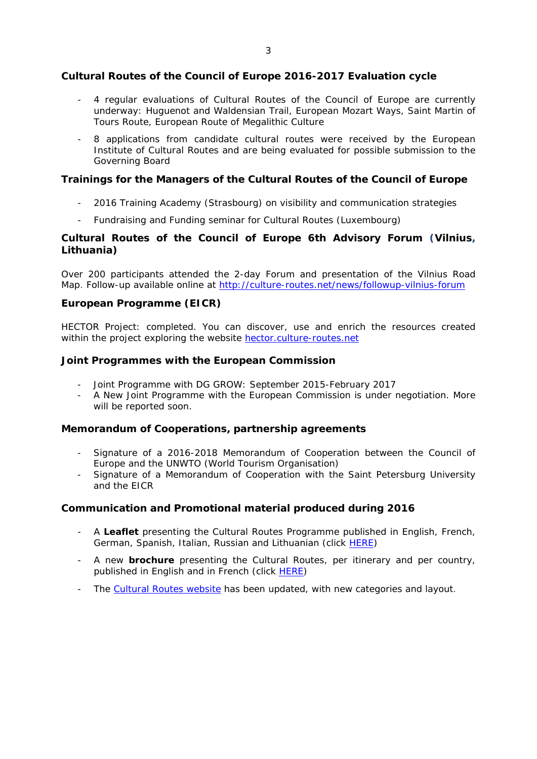**Cultural Routes of the Council of Europe 2016-2017 Evaluation cycle**

- 4 regular evaluations of Cultural Routes of the Council of Europe are currently underway: Huguenot and Waldensian Trail, European Mozart Ways, Saint Martin of Tours Route, European Route of Megalithic Culture
- 8 applications from candidate cultural routes were received by the European Institute of Cultural Routes and are being evaluated for possible submission to the Governing Board

**Trainings for the Managers of the Cultural Routes of the Council of Europe**

- 2016 Training Academy (Strasbourg) on visibility and communication strategies
- Fundraising and Funding seminar for Cultural Routes (Luxembourg)

**Cultural Routes of the Council of Europe 6th Advisory Forum (Vilnius, Lithuania)**

Over 200 participants attended the 2-day Forum and presentation of the Vilnius Road Map. Follow-up available online at<http://culture-routes.net/news/followup-vilnius-forum>

## **European Programme (EICR)**

HECTOR Project: completed. You can discover, use and enrich the resources created within the project exploring the website [hector.culture-routes.net](http://hector.culture-routes.net)

**Joint Programmes with the European Commission**

- Joint Programme with DG GROW: September 2015-February 2017
- A New Joint Programme with the European Commission is under negotiation. More will be reported soon.

**Memorandum of Cooperations, partnership agreements**

- Signature of a 2016-2018 Memorandum of Cooperation between the Council of Europe and the UNWTO (World Tourism Organisation)
- Signature of a Memorandum of Cooperation with the Saint Petersburg University and the EICR

**Communication and Promotional material produced during 2016** 

- A **Leaflet** presenting the Cultural Routes Programme published in English, French, German, Spanish, Italian, Russian and Lithuanian (click [HERE](http://culture-routes.net/resources/publications))
- A new **brochure** presenting the Cultural Routes, per itinerary and per country, published in English and in French (click [HERE\)](http://culture-routes.net/resources/publications)
- The [Cultural Routes website](http://culture-routes.net/) has been updated, with new categories and layout.